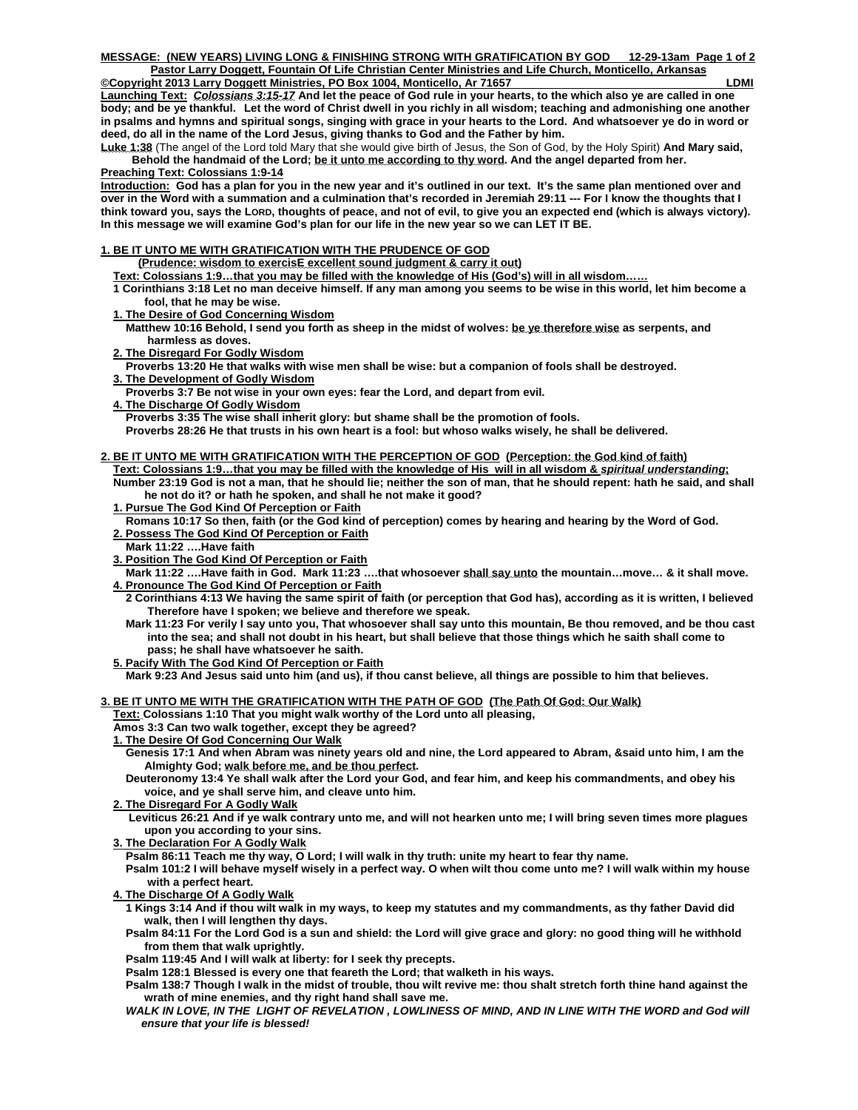**Launching Text:** *Colossians 3:15-17* **And let the peace of God rule in your hearts, to the which also ye are called in one body; and be ye thankful. Let the word of Christ dwell in you richly in all wisdom; teaching and admonishing one another in psalms and hymns and spiritual songs, singing with grace in your hearts to the Lord. And whatsoever ye do in word or deed, do all in the name of the Lord Jesus, giving thanks to God and the Father by him.** 

**Luke 1:38** (The angel of the Lord told Mary that she would give birth of Jesus, the Son of God, by the Holy Spirit) **And Mary said, Behold the handmaid of the Lord; be it unto me according to thy word. And the angel departed from her.** 

# **Preaching Text: Colossians 1:9-14**

**Introduction: God has a plan for you in the new year and it's outlined in our text. It's the same plan mentioned over and over in the Word with a summation and a culmination that's recorded in Jeremiah 29:11 --- For I know the thoughts that I think toward you, says the LORD, thoughts of peace, and not of evil, to give you an expected end (which is always victory). In this message we will examine God's plan for our life in the new year so we can LET IT BE.** 

## **1. BE IT UNTO ME WITH GRATIFICATION WITH THE PRUDENCE OF GOD**

- **(Prudence: wisdom to exercisE excellent sound judgment & carry it out)**
- **Text: Colossians 1:9…that you may be filled with the knowledge of His (God's) will in all wisdom……**
- **[1 Corinthians 3:18](http://www.biblegateway.com/passage/?search=1%20Corinthians+3:18&version=KJV) Let no man deceive himself. If any man among you seems to be wise in this world, let him become a fool, that he may be wise.**
- **1. The Desire of God Concerning Wisdom**
- **[Matthew 10:16](http://www.biblegateway.com/passage/?search=Matthew+10:16&version=KJV) Behold, I send you forth as sheep in the midst of wolves: be ye therefore wise as serpents, and harmless as doves.**
- **2. The Disregard For Godly Wisdom**
- **[Proverbs 13:20](http://www.biblegateway.com/passage/?search=Proverbs+13:20&version=KJV) He that walks with wise men shall be wise: but a companion of fools shall be destroyed.**
- **3. The Development of Godly Wisdom**
- **[Proverbs 3:7](http://www.biblegateway.com/passage/?search=Proverbs+3:7&version=KJV) Be not wise in your own eyes: fear the Lord, and depart from evil.**
- **4. The Discharge Of Godly Wisdom**

 **[Proverbs 3:35](http://www.biblegateway.com/passage/?search=Proverbs+3:35&version=KJV) The wise shall inherit glory: but shame shall be the promotion of fools. [Proverbs 28:26](http://www.biblegateway.com/passage/?search=Proverbs+28:26&version=KJV) He that trusts in his own heart is a fool: but whoso walks wisely, he shall be delivered.** 

#### **2. BE IT UNTO ME WITH GRATIFICATION WITH THE PERCEPTION OF GOD (Perception: the God kind of faith) Text: Colossians 1:9…that you may be filled with the knowledge of His will in all wisdom &** *spiritual understanding***;**

 **Number 23:19 God is not a man, that he should lie; neither the son of man, that he should repent: hath he said, and shall he not do it? or hath he spoken, and shall he not make it good?** 

- **1. Pursue The God Kind Of Perception or Faith**
- **Romans 10:17 So then, faith (or the God kind of perception) comes by hearing and hearing by the Word of God. 2. Possess The God Kind Of Perception or Faith**
- **Mark 11:22 ….Have faith**
- **3. Position The God Kind Of Perception or Faith**
- Mark 11:22 ....Have faith in God. Mark 11:23 ....that whosoever shall say unto the mountain...move... & it shall move.  **4. Pronounce The God Kind Of Perception or Faith**
	- **2 Corinthians 4:13 We having the same spirit of faith (or perception that God has), according as it is written, I believed Therefore have I spoken; we believe and therefore we speak.**
	- **Mark 11:23 For verily I say unto you, That whosoever shall say unto this mountain, Be thou removed, and be thou cast into the sea; and shall not doubt in his heart, but shall believe that those things which he saith shall come to pass; he shall have whatsoever he saith.**
- **5. Pacify With The God Kind Of Perception or Faith**

 **Mark 9:23 And Jesus said unto him (and us), if thou canst believe, all things are possible to him that believes.** 

# **3. BE IT UNTO ME WITH THE GRATIFICATION WITH THE PATH OF GOD (The Path Of God: Our Walk)**

 **Text: Colossians 1:10 That you might walk worthy of the Lord unto all pleasing,** 

 **[Amos 3:3](http://www.biblegateway.com/passage/?search=Amos+3:3&version=KJV) Can two walk together, except they be agreed?** 

 **1. The Desire Of God Concerning Our Walk** 

 **[Genesis 17:1](http://www.biblegateway.com/passage/?search=Genesis+17:1&version=KJV) And when Abram was ninety years old and nine, the Lord appeared to Abram, &said unto him, I am the Almighty God; walk before me, and be thou perfect.** 

 **[Deuteronomy 13:4](http://www.biblegateway.com/passage/?search=Deuteronomy+13:4&version=KJV) Ye shall walk after the Lord your God, and fear him, and keep his commandments, and obey his voice, and ye shall serve him, and cleave unto him.** 

 **2. The Disregard For A Godly Walk**

 **[Leviticus 26:21](http://www.biblegateway.com/passage/?search=Leviticus+26:21&version=KJV) And if ye walk contrary unto me, and will not hearken unto me; I will bring seven times more plagues upon you according to your sins.** 

 **3. The Declaration For A Godly Walk**

 **[Psalm 86:11](http://www.biblegateway.com/passage/?search=Psalm+86:11&version=KJV) Teach me thy way, O Lord; I will walk in thy truth: unite my heart to fear thy name.** 

 **[Psalm 101:2](http://www.biblegateway.com/passage/?search=Psalm+101:2&version=KJV) I will behave myself wisely in a perfect way. O when wilt thou come unto me? I will walk within my house with a perfect heart.** 

 **4. The Discharge Of A Godly Walk**

 **[1 Kings 3:14](http://www.biblegateway.com/passage/?search=1%20Kings+3:14&version=KJV) And if thou wilt walk in my ways, to keep my statutes and my commandments, as thy father David did walk, then I will lengthen thy days.** 

 **[Psalm 84:11](http://www.biblegateway.com/passage/?search=Psalm+84:11&version=KJV) For the Lord God is a sun and shield: the Lord will give grace and glory: no good thing will he withhold from them that walk uprightly.** 

 **[Psalm 119:45](http://www.biblegateway.com/passage/?search=Psalm+119:45&version=KJV) And I will walk at liberty: for I seek thy precepts.** 

 **[Psalm 128:1](http://www.biblegateway.com/passage/?search=Psalm+128:1&version=KJV) Blessed is every one that feareth the Lord; that walketh in his ways.** 

 **[Psalm 138:7](http://www.biblegateway.com/passage/?search=Psalm+138:7&version=KJV) Though I walk in the midst of trouble, thou wilt revive me: thou shalt stretch forth thine hand against the wrath of mine enemies, and thy right hand shall save me.** 

*WALK IN LOVE, IN THE LIGHT OF REVELATION , LOWLINESS OF MIND, AND IN LINE WITH THE WORD and God will ensure that your life is blessed!*